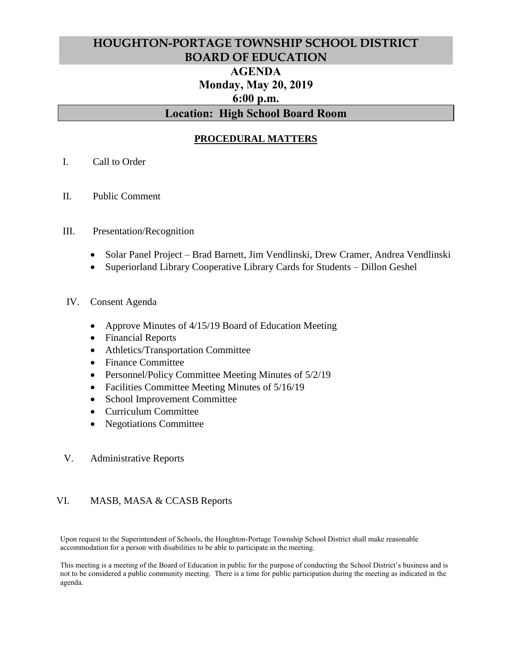# **HOUGHTON-PORTAGE TOWNSHIP SCHOOL DISTRICT BOARD OF EDUCATION AGENDA Monday, May 20, 2019 6:00 p.m. Location: High School Board Room**

## **PROCEDURAL MATTERS**

- I. Call to Order
- II. Public Comment

#### III. Presentation/Recognition

- Solar Panel Project Brad Barnett, Jim Vendlinski, Drew Cramer, Andrea Vendlinski
- Superiorland Library Cooperative Library Cards for Students Dillon Geshel

#### IV. Consent Agenda

- Approve Minutes of 4/15/19 Board of Education Meeting
- Financial Reports
- Athletics/Transportation Committee
- Finance Committee
- Personnel/Policy Committee Meeting Minutes of 5/2/19
- Facilities Committee Meeting Minutes of  $5/16/19$
- School Improvement Committee
- Curriculum Committee
- Negotiations Committee
- V. Administrative Reports

#### VI. MASB, MASA & CCASB Reports

Upon request to the Superintendent of Schools, the Houghton-Portage Township School District shall make reasonable accommodation for a person with disabilities to be able to participate in the meeting.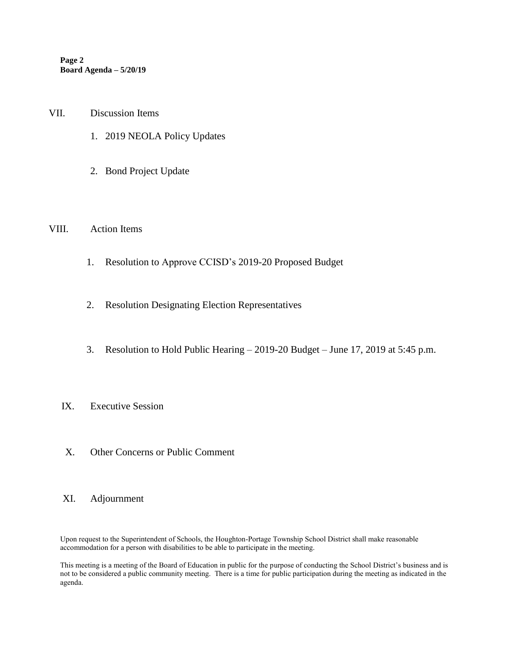**Page 2 Board Agenda – 5/20/19**

- VII. Discussion Items
	- 1. 2019 NEOLA Policy Updates
	- 2. Bond Project Update

#### VIII. Action Items

- 1. Resolution to Approve CCISD's 2019-20 Proposed Budget
- 2. Resolution Designating Election Representatives
- 3. Resolution to Hold Public Hearing 2019-20 Budget June 17, 2019 at 5:45 p.m.

### IX. Executive Session

X. Other Concerns or Public Comment

#### XI. Adjournment

Upon request to the Superintendent of Schools, the Houghton-Portage Township School District shall make reasonable accommodation for a person with disabilities to be able to participate in the meeting.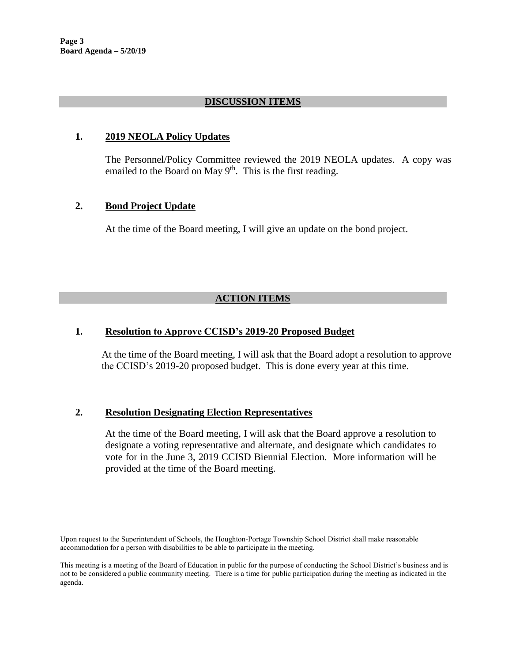**Page 3 Board Agenda – 5/20/19**

#### **DISCUSSION ITEMS**

#### **1. 2019 NEOLA Policy Updates**

The Personnel/Policy Committee reviewed the 2019 NEOLA updates. A copy was emailed to the Board on May 9<sup>th</sup>. This is the first reading.

#### **2. Bond Project Update**

At the time of the Board meeting, I will give an update on the bond project.

## **ACTION ITEMS**

#### **1. Resolution to Approve CCISD's 2019-20 Proposed Budget**

At the time of the Board meeting, I will ask that the Board adopt a resolution to approve the CCISD's 2019-20 proposed budget. This is done every year at this time.

#### **2. Resolution Designating Election Representatives**

At the time of the Board meeting, I will ask that the Board approve a resolution to designate a voting representative and alternate, and designate which candidates to vote for in the June 3, 2019 CCISD Biennial Election. More information will be provided at the time of the Board meeting.

Upon request to the Superintendent of Schools, the Houghton-Portage Township School District shall make reasonable accommodation for a person with disabilities to be able to participate in the meeting.